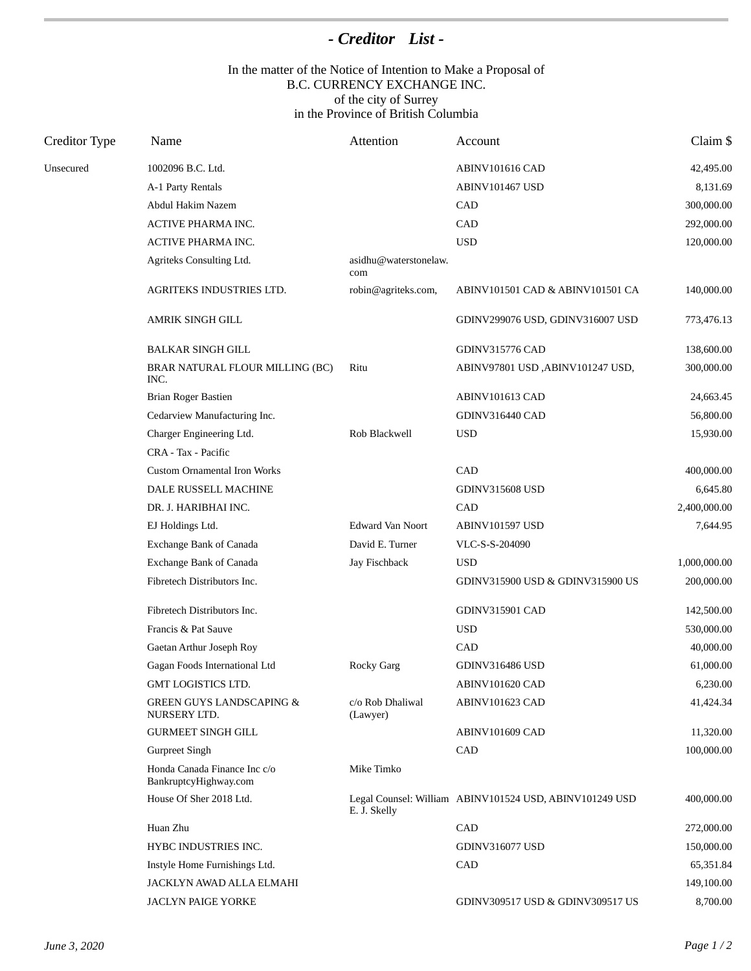## *- Creditor List -*

## In the matter of the Notice of Intention to Make a Proposal of B.C. CURRENCY EXCHANGE INC. of the city of Surrey in the Province of British Columbia

| Creditor Type | Name                                                  | Attention                    | Account                                                 | Claim \$     |
|---------------|-------------------------------------------------------|------------------------------|---------------------------------------------------------|--------------|
| Unsecured     | 1002096 B.C. Ltd.                                     |                              | <b>ABINV101616 CAD</b>                                  | 42,495.00    |
|               | A-1 Party Rentals                                     |                              | <b>ABINV101467 USD</b>                                  | 8,131.69     |
|               | Abdul Hakim Nazem                                     |                              | CAD                                                     | 300,000.00   |
|               | ACTIVE PHARMA INC.                                    |                              | CAD                                                     | 292,000.00   |
|               | ACTIVE PHARMA INC.                                    |                              | <b>USD</b>                                              | 120,000.00   |
|               | Agriteks Consulting Ltd.                              | asidhu@waterstonelaw.<br>com |                                                         |              |
|               | AGRITEKS INDUSTRIES LTD.                              | robin@agriteks.com,          | ABINV101501 CAD & ABINV101501 CA                        | 140,000.00   |
|               | AMRIK SINGH GILL                                      |                              | GDINV299076 USD, GDINV316007 USD                        | 773,476.13   |
|               | <b>BALKAR SINGH GILL</b>                              |                              | <b>GDINV315776 CAD</b>                                  | 138,600.00   |
|               | BRAR NATURAL FLOUR MILLING (BC)<br>INC.               | Ritu                         | ABINV97801 USD, ABINV101247 USD,                        | 300,000.00   |
|               | Brian Roger Bastien                                   |                              | <b>ABINV101613 CAD</b>                                  | 24,663.45    |
|               | Cedarview Manufacturing Inc.                          |                              | <b>GDINV316440 CAD</b>                                  | 56,800.00    |
|               | Charger Engineering Ltd.                              | Rob Blackwell                | <b>USD</b>                                              | 15,930.00    |
|               | CRA - Tax - Pacific                                   |                              |                                                         |              |
|               | <b>Custom Ornamental Iron Works</b>                   |                              | CAD                                                     | 400,000.00   |
|               | DALE RUSSELL MACHINE                                  |                              | <b>GDINV315608 USD</b>                                  | 6,645.80     |
|               | DR. J. HARIBHAI INC.                                  |                              | CAD                                                     | 2,400,000.00 |
|               | EJ Holdings Ltd.                                      | <b>Edward Van Noort</b>      | <b>ABINV101597 USD</b>                                  | 7,644.95     |
|               | Exchange Bank of Canada                               | David E. Turner              | VLC-S-S-204090                                          |              |
|               | Exchange Bank of Canada                               | Jay Fischback                | <b>USD</b>                                              | 1,000,000.00 |
|               | Fibretech Distributors Inc.                           |                              | GDINV315900 USD & GDINV315900 US                        | 200,000.00   |
|               | Fibretech Distributors Inc.                           |                              | <b>GDINV315901 CAD</b>                                  | 142,500.00   |
|               | Francis & Pat Sauve                                   |                              | <b>USD</b>                                              | 530,000.00   |
|               | Gaetan Arthur Joseph Roy                              |                              | CAD                                                     | 40,000.00    |
|               | Gagan Foods International Ltd                         | <b>Rocky Garg</b>            | <b>GDINV316486 USD</b>                                  | 61,000.00    |
|               | GMT LOGISTICS LTD.                                    |                              | ABINV101620 CAD                                         | 6,230.00     |
|               | <b>GREEN GUYS LANDSCAPING &amp;</b><br>NURSERY LTD.   | c/o Rob Dhaliwal<br>(Lawyer) | <b>ABINV101623 CAD</b>                                  | 41,424.34    |
|               | <b>GURMEET SINGH GILL</b>                             |                              | ABINV101609 CAD                                         | 11,320.00    |
|               | Gurpreet Singh                                        |                              | CAD                                                     | 100,000.00   |
|               | Honda Canada Finance Inc c/o<br>BankruptcyHighway.com | Mike Timko                   |                                                         |              |
|               | House Of Sher 2018 Ltd.                               | E. J. Skelly                 | Legal Counsel: William ABINV101524 USD, ABINV101249 USD | 400,000.00   |
|               | Huan Zhu                                              |                              | CAD                                                     | 272,000.00   |
|               | HYBC INDUSTRIES INC.                                  |                              | <b>GDINV316077 USD</b>                                  | 150,000.00   |
|               | Instyle Home Furnishings Ltd.                         |                              | CAD                                                     | 65,351.84    |
|               | JACKLYN AWAD ALLA ELMAHI                              |                              |                                                         | 149,100.00   |
|               | <b>JACLYN PAIGE YORKE</b>                             |                              | GDINV309517 USD & GDINV309517 US                        | 8,700.00     |